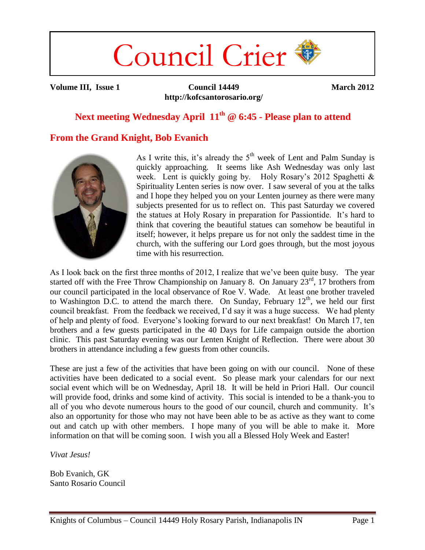# Council Crier

**Volume III, Issue 1 Council 14449 http://kofcsantorosario.org/** **March 2012**

## **Next meeting Wednesday April 11th @ 6:45 - Please plan to attend**

## **From the Grand Knight, Bob Evanich**



As I write this, it's already the  $5<sup>th</sup>$  week of Lent and Palm Sunday is quickly approaching. It seems like Ash Wednesday was only last week. Lent is quickly going by. Holy Rosary's 2012 Spaghetti & Spirituality Lenten series is now over. I saw several of you at the talks and I hope they helped you on your Lenten journey as there were many subjects presented for us to reflect on. This past Saturday we covered the statues at Holy Rosary in preparation for Passiontide. It's hard to think that covering the beautiful statues can somehow be beautiful in itself; however, it helps prepare us for not only the saddest time in the church, with the suffering our Lord goes through, but the most joyous time with his resurrection.

As I look back on the first three months of 2012, I realize that we've been quite busy. The year started off with the Free Throw Championship on January 8. On January  $23^{rd}$ , 17 brothers from our council participated in the local observance of Roe V. Wade. At least one brother traveled to Washington D.C. to attend the march there. On Sunday, February  $12<sup>th</sup>$ , we held our first council breakfast. From the feedback we received, I'd say it was a huge success. We had plenty of help and plenty of food. Everyone's looking forward to our next breakfast! On March 17, ten brothers and a few guests participated in the 40 Days for Life campaign outside the abortion clinic. This past Saturday evening was our Lenten Knight of Reflection. There were about 30 brothers in attendance including a few guests from other councils.

These are just a few of the activities that have been going on with our council. None of these activities have been dedicated to a social event. So please mark your calendars for our next social event which will be on Wednesday, April 18. It will be held in Priori Hall. Our council will provide food, drinks and some kind of activity. This social is intended to be a thank-you to all of you who devote numerous hours to the good of our council, church and community. It's also an opportunity for those who may not have been able to be as active as they want to come out and catch up with other members. I hope many of you will be able to make it. More information on that will be coming soon. I wish you all a Blessed Holy Week and Easter!

*Vivat Jesus!*

Bob Evanich, GK Santo Rosario Council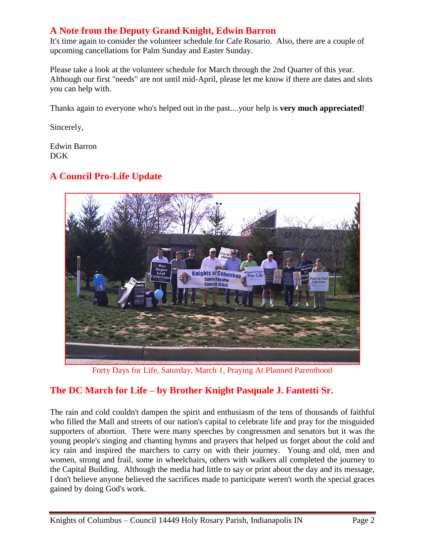## **A Note from the Deputy Grand Knight, Edwin Barron**

It's time again to consider the volunteer schedule for Cafe Rosario. Also, there are a couple of upcoming cancellations for Palm Sunday and Easter Sunday.

Please take a look at the volunteer schedule for March through the 2nd Quarter of this year. Although our first "needs" are not until mid-April, please let me know if there are dates and slots you can help with.

Thanks again to everyone who's helped out in the past....your help is **very much appreciated!**

Sincerely,

Edwin Barron DGK

# **A Council Pro-Life Update**



Forty Days for Life, Saturday, March 1, Praying At Planned Parenthood

# **The DC March for Life – by Brother Knight Pasquale J. Fantetti Sr.**

The rain and cold couldn't dampen the spirit and enthusiasm of the tens of thousands of faithful who filled the Mall and streets of our nation's capital to celebrate life and pray for the misguided supporters of abortion. There were many speeches by congressmen and senators but it was the young people's singing and chanting hymns and prayers that helped us forget about the cold and icy rain and inspired the marchers to carry on with their journey. Young and old, men and women, strong and frail, some in wheelchairs, others with walkers all completed the journey to the Capital Building. Although the media had little to say or print about the day and its message, I don't believe anyone believed the sacrifices made to participate weren't worth the special graces gained by doing God's work.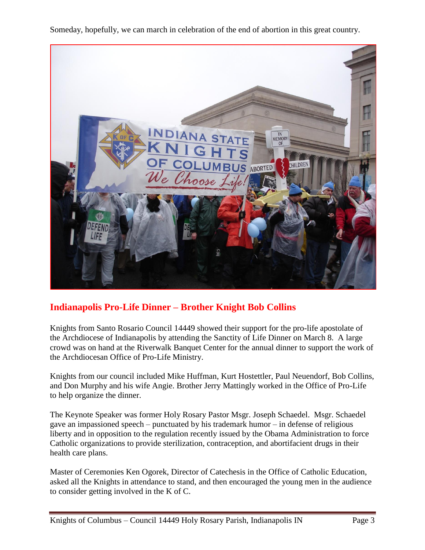Someday, hopefully, we can march in celebration of the end of abortion in this great country.



## **Indianapolis Pro-Life Dinner – Brother Knight Bob Collins**

Knights from Santo Rosario Council 14449 showed their support for the pro-life apostolate of the Archdiocese of Indianapolis by attending the Sanctity of Life Dinner on March 8. A large crowd was on hand at the Riverwalk Banquet Center for the annual dinner to support the work of the Archdiocesan Office of Pro-Life Ministry.

Knights from our council included Mike Huffman, Kurt Hostettler, Paul Neuendorf, Bob Collins, and Don Murphy and his wife Angie. Brother Jerry Mattingly worked in the Office of Pro-Life to help organize the dinner.

The Keynote Speaker was former Holy Rosary Pastor Msgr. Joseph Schaedel. Msgr. Schaedel gave an impassioned speech – punctuated by his trademark humor – in defense of religious liberty and in opposition to the regulation recently issued by the Obama Administration to force Catholic organizations to provide sterilization, contraception, and abortifacient drugs in their health care plans.

Master of Ceremonies Ken Ogorek, Director of Catechesis in the Office of Catholic Education, asked all the Knights in attendance to stand, and then encouraged the young men in the audience to consider getting involved in the K of C.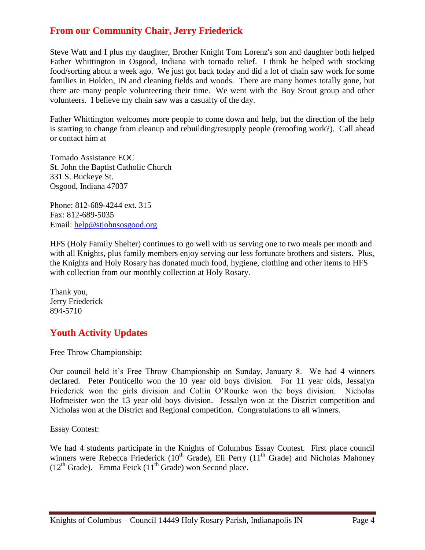#### **From our Community Chair, Jerry Friederick**

Steve Watt and I plus my daughter, Brother Knight Tom Lorenz's son and daughter both helped Father Whittington in Osgood, Indiana with tornado relief. I think he helped with stocking food/sorting about a week ago. We just got back today and did a lot of chain saw work for some families in Holden, IN and cleaning fields and woods. There are many homes totally gone, but there are many people volunteering their time. We went with the Boy Scout group and other volunteers. I believe my chain saw was a casualty of the day.

Father Whittington welcomes more people to come down and help, but the direction of the help is starting to change from cleanup and rebuilding/resupply people (reroofing work?). Call ahead or contact him at

Tornado Assistance EOC St. John the Baptist Catholic Church 331 S. Buckeye St. Osgood, Indiana 47037

Phone: 812-689-4244 ext. 315 Fax: 812-689-5035 Email: [help@stjohnsosgood.org](mailto:help@stjohnsosgood.org)

HFS (Holy Family Shelter) continues to go well with us serving one to two meals per month and with all Knights, plus family members enjoy serving our less fortunate brothers and sisters. Plus, the Knights and Holy Rosary has donated much food, hygiene, clothing and other items to HFS with collection from our monthly collection at Holy Rosary.

Thank you, Jerry Friederick 894-5710

## **Youth Activity Updates**

Free Throw Championship:

Our council held it's Free Throw Championship on Sunday, January 8. We had 4 winners declared. Peter Ponticello won the 10 year old boys division. For 11 year olds, Jessalyn Friederick won the girls division and Collin O'Rourke won the boys division. Nicholas Hofmeister won the 13 year old boys division. Jessalyn won at the District competition and Nicholas won at the District and Regional competition. Congratulations to all winners.

Essay Contest:

We had 4 students participate in the Knights of Columbus Essay Contest. First place council winners were Rebecca Friederick ( $10^{th}$  Grade), Eli Perry ( $11^{th}$  Grade) and Nicholas Mahoney  $(12<sup>th</sup> Grade)$ . Emma Feick  $(11<sup>th</sup> Grade)$  won Second place.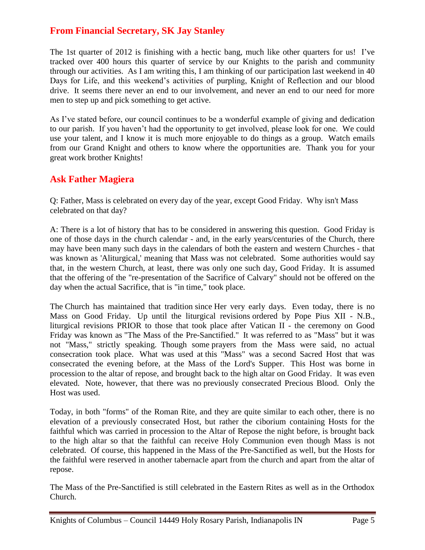## **From Financial Secretary, SK Jay Stanley**

The 1st quarter of 2012 is finishing with a hectic bang, much like other quarters for us! I've tracked over 400 hours this quarter of service by our Knights to the parish and community through our activities. As I am writing this, I am thinking of our participation last weekend in 40 Days for Life, and this weekend's activities of purpling, Knight of Reflection and our blood drive. It seems there never an end to our involvement, and never an end to our need for more men to step up and pick something to get active.

As I've stated before, our council continues to be a wonderful example of giving and dedication to our parish. If you haven't had the opportunity to get involved, please look for one. We could use your talent, and I know it is much more enjoyable to do things as a group. Watch emails from our Grand Knight and others to know where the opportunities are. Thank you for your great work brother Knights!

## **Ask Father Magiera**

Q: Father, Mass is celebrated on every day of the year, except Good Friday. Why isn't Mass celebrated on that day?

A: There is a lot of history that has to be considered in answering this question. Good Friday is one of those days in the church calendar - and, in the early years/centuries of the Church, there may have been many such days in the calendars of both the eastern and western Churches - that was known as 'Aliturgical,' meaning that Mass was not celebrated. Some authorities would say that, in the western Church, at least, there was only one such day, Good Friday. It is assumed that the offering of the "re-presentation of the Sacrifice of Calvary" should not be offered on the day when the actual Sacrifice, that is "in time," took place.

The Church has maintained that tradition since Her very early days. Even today, there is no Mass on Good Friday. Up until the liturgical revisions ordered by Pope Pius XII - N.B., liturgical revisions PRIOR to those that took place after Vatican II - the ceremony on Good Friday was known as "The Mass of the Pre-Sanctified." It was referred to as "Mass" but it was not "Mass," strictly speaking. Though some prayers from the Mass were said, no actual consecration took place. What was used at this "Mass" was a second Sacred Host that was consecrated the evening before, at the Mass of the Lord's Supper. This Host was borne in procession to the altar of repose, and brought back to the high altar on Good Friday. It was even elevated. Note, however, that there was no previously consecrated Precious Blood. Only the Host was used.

Today, in both "forms" of the Roman Rite, and they are quite similar to each other, there is no elevation of a previously consecrated Host, but rather the ciborium containing Hosts for the faithful which was carried in procession to the Altar of Repose the night before, is brought back to the high altar so that the faithful can receive Holy Communion even though Mass is not celebrated. Of course, this happened in the Mass of the Pre-Sanctified as well, but the Hosts for the faithful were reserved in another tabernacle apart from the church and apart from the altar of repose.

The Mass of the Pre-Sanctified is still celebrated in the Eastern Rites as well as in the Orthodox Church.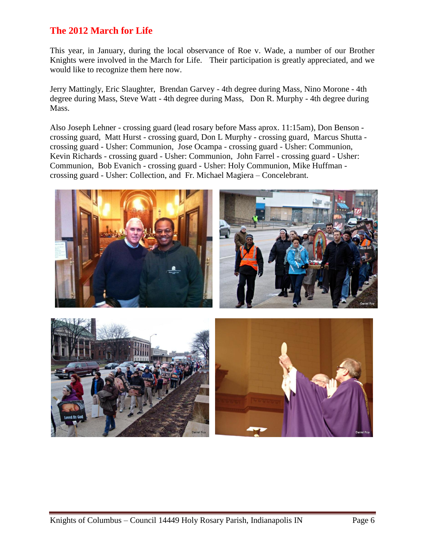#### **The 2012 March for Life**

This year, in January, during the local observance of Roe v. Wade, a number of our Brother Knights were involved in the March for Life. Their participation is greatly appreciated, and we would like to recognize them here now.

Jerry Mattingly, Eric Slaughter, Brendan Garvey - 4th degree during Mass, Nino Morone - 4th degree during Mass, Steve Watt - 4th degree during Mass, Don R. Murphy - 4th degree during Mass.

Also Joseph Lehner - crossing guard (lead rosary before Mass aprox. 11:15am), Don Benson crossing guard, Matt Hurst - crossing guard, Don L Murphy - crossing guard, Marcus Shutta crossing guard - Usher: Communion, Jose Ocampa - crossing guard - Usher: Communion, Kevin Richards - crossing guard - Usher: Communion, John Farrel - crossing guard - Usher: Communion, Bob Evanich - crossing guard - Usher: Holy Communion, Mike Huffman crossing guard - Usher: Collection, and Fr. Michael Magiera – Concelebrant.

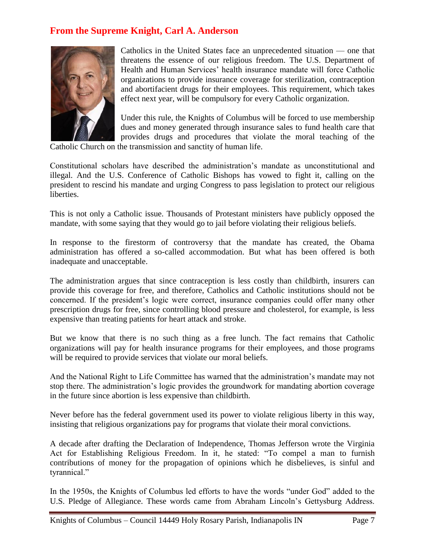## **From the Supreme Knight, Carl A. Anderson**



Catholics in the United States face an unprecedented situation — one that threatens the essence of our religious freedom. The U.S. Department of Health and Human Services' health insurance mandate will force Catholic organizations to provide insurance coverage for sterilization, contraception and abortifacient drugs for their employees. This requirement, which takes effect next year, will be compulsory for every Catholic organization.

Under this rule, the Knights of Columbus will be forced to use membership dues and money generated through insurance sales to fund health care that provides drugs and procedures that violate the moral teaching of the

Catholic Church on the transmission and sanctity of human life.

Constitutional scholars have described the administration's mandate as unconstitutional and illegal. And the U.S. Conference of Catholic Bishops has vowed to fight it, calling on the president to rescind his mandate and urging Congress to pass legislation to protect our religious liberties.

This is not only a Catholic issue. Thousands of Protestant ministers have publicly opposed the mandate, with some saying that they would go to jail before violating their religious beliefs.

In response to the firestorm of controversy that the mandate has created, the Obama administration has offered a so-called accommodation. But what has been offered is both inadequate and unacceptable.

The administration argues that since contraception is less costly than childbirth, insurers can provide this coverage for free, and therefore, Catholics and Catholic institutions should not be concerned. If the president's logic were correct, insurance companies could offer many other prescription drugs for free, since controlling blood pressure and cholesterol, for example, is less expensive than treating patients for heart attack and stroke.

But we know that there is no such thing as a free lunch. The fact remains that Catholic organizations will pay for health insurance programs for their employees, and those programs will be required to provide services that violate our moral beliefs.

And the National Right to Life Committee has warned that the administration's mandate may not stop there. The administration's logic provides the groundwork for mandating abortion coverage in the future since abortion is less expensive than childbirth.

Never before has the federal government used its power to violate religious liberty in this way, insisting that religious organizations pay for programs that violate their moral convictions.

A decade after drafting the Declaration of Independence, Thomas Jefferson wrote the Virginia Act for Establishing Religious Freedom. In it, he stated: "To compel a man to furnish contributions of money for the propagation of opinions which he disbelieves, is sinful and tyrannical."

In the 1950s, the Knights of Columbus led efforts to have the words "under God" added to the U.S. Pledge of Allegiance. These words came from Abraham Lincoln's Gettysburg Address.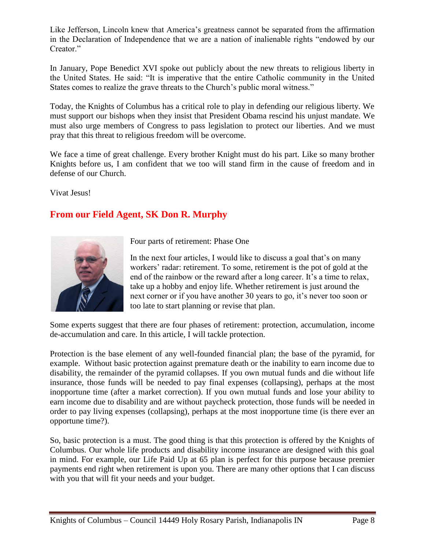Like Jefferson, Lincoln knew that America's greatness cannot be separated from the affirmation in the Declaration of Independence that we are a nation of inalienable rights "endowed by our Creator."

In January, Pope Benedict XVI spoke out publicly about the new threats to religious liberty in the United States. He said: "It is imperative that the entire Catholic community in the United States comes to realize the grave threats to the Church's public moral witness."

Today, the Knights of Columbus has a critical role to play in defending our religious liberty. We must support our bishops when they insist that President Obama rescind his unjust mandate. We must also urge members of Congress to pass legislation to protect our liberties. And we must pray that this threat to religious freedom will be overcome.

We face a time of great challenge. Every brother Knight must do his part. Like so many brother Knights before us, I am confident that we too will stand firm in the cause of freedom and in defense of our Church.

Vivat Jesus!

## **From our Field Agent, SK Don R. Murphy**



Four parts of retirement: Phase One

In the next four articles, I would like to discuss a goal that's on many workers' radar: retirement. To some, retirement is the pot of gold at the end of the rainbow or the reward after a long career. It's a time to relax, take up a hobby and enjoy life. Whether retirement is just around the next corner or if you have another 30 years to go, it's never too soon or too late to start planning or revise that plan.

Some experts suggest that there are four phases of retirement: protection, accumulation, income de-accumulation and care. In this article, I will tackle protection.

Protection is the base element of any well-founded financial plan; the base of the pyramid, for example. Without basic protection against premature death or the inability to earn income due to disability, the remainder of the pyramid collapses. If you own mutual funds and die without life insurance, those funds will be needed to pay final expenses (collapsing), perhaps at the most inopportune time (after a market correction). If you own mutual funds and lose your ability to earn income due to disability and are without paycheck protection, those funds will be needed in order to pay living expenses (collapsing), perhaps at the most inopportune time (is there ever an opportune time?).

So, basic protection is a must. The good thing is that this protection is offered by the Knights of Columbus. Our whole life products and disability income insurance are designed with this goal in mind. For example, our Life Paid Up at 65 plan is perfect for this purpose because premier payments end right when retirement is upon you. There are many other options that I can discuss with you that will fit your needs and your budget.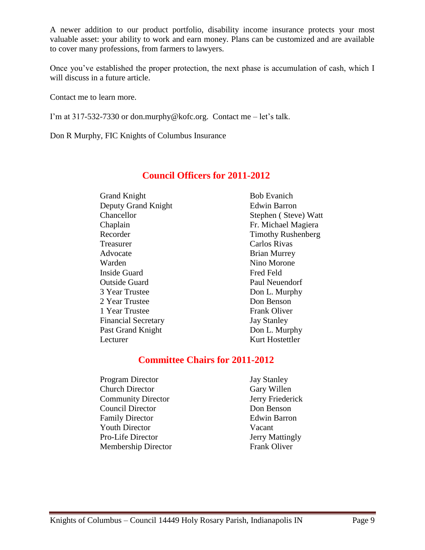A newer addition to our product portfolio, disability income insurance protects your most valuable asset: your ability to work and earn money. Plans can be customized and are available to cover many professions, from farmers to lawyers.

Once you've established the proper protection, the next phase is accumulation of cash, which I will discuss in a future article.

Contact me to learn more.

I'm at 317-532-7330 or don.murphy@kofc.org. Contact me – let's talk.

Don R Murphy, FIC Knights of Columbus Insurance

#### **Council Officers for 2011-2012**

Grand Knight Bob Evanich Deputy Grand Knight Edwin Barron Chancellor Stephen ( Steve) Watt Chaplain Fr. Michael Magiera Recorder Timothy Rushenberg Treasurer Carlos Rivas Advocate Brian Murrey Warden Nino Morone Inside Guard Fred Feld Outside Guard Paul Neuendorf 3 Year Trustee Don L. Murphy 2 Year Trustee Don Benson 1 Year Trustee Frank Oliver Financial Secretary **Jay Stanley** Past Grand Knight Don L. Murphy Lecturer Kurt Hostettler

#### **Committee Chairs for 2011-2012**

Program Director Jay Stanley Church Director Gary Willen **Community Director 5 1988 IV Jerry Friederick** Council Director Don Benson Family Director **Edwin Barron** Youth Director Vacant Pro-Life Director Jerry Mattingly Membership Director Frank Oliver